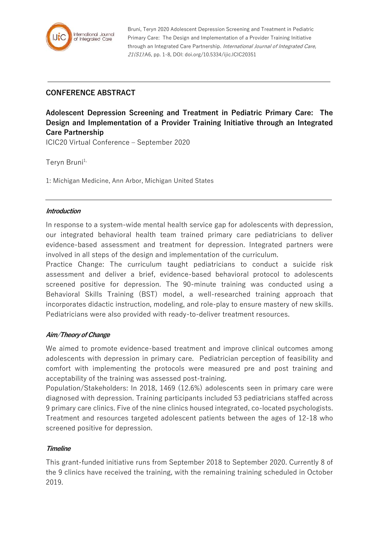

Bruni, Teryn 2020 Adolescent Depression Screening and Treatment in Pediatric Primary Care: The Design and Implementation of a Provider Training Initiative through an Integrated Care Partnership. International Journal of Integrated Care, 21(S1):A6, pp. 1-8, DOI: doi.org/10.5334/ijic.ICIC20351

# **CONFERENCE ABSTRACT**

**Adolescent Depression Screening and Treatment in Pediatric Primary Care: The Design and Implementation of a Provider Training Initiative through an Integrated Care Partnership**

ICIC20 Virtual Conference – September 2020

Tervn Bruni<sup>1,</sup>

1: Michigan Medicine, Ann Arbor, Michigan United States

#### **Introduction**

In response to a system-wide mental health service gap for adolescents with depression, our integrated behavioral health team trained primary care pediatricians to deliver evidence-based assessment and treatment for depression. Integrated partners were involved in all steps of the design and implementation of the curriculum.

Practice Change: The curriculum taught pediatricians to conduct a suicide risk assessment and deliver a brief, evidence-based behavioral protocol to adolescents screened positive for depression. The 90-minute training was conducted using a Behavioral Skills Training (BST) model, a well-researched training approach that incorporates didactic instruction, modeling, and role-play to ensure mastery of new skills. Pediatricians were also provided with ready-to-deliver treatment resources.

# **Aim/Theory of Change**

We aimed to promote evidence-based treatment and improve clinical outcomes among adolescents with depression in primary care. Pediatrician perception of feasibility and comfort with implementing the protocols were measured pre and post training and acceptability of the training was assessed post-training.

Population/Stakeholders: In 2018, 1469 (12.6%) adolescents seen in primary care were diagnosed with depression. Training participants included 53 pediatricians staffed across 9 primary care clinics. Five of the nine clinics housed integrated, co-located psychologists. Treatment and resources targeted adolescent patients between the ages of 12-18 who screened positive for depression.

# **Timeline**

This grant-funded initiative runs from September 2018 to September 2020. Currently 8 of the 9 clinics have received the training, with the remaining training scheduled in October 2019.